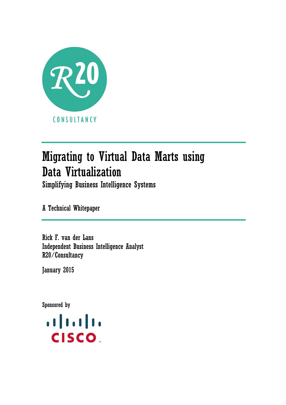

# Migrating to Virtual Data Marts using Data Virtualization

Simplifying Business Intelligence Systems

A Technical Whitepaper

Rick F. van der Lans Independent Business Intelligence Analyst R20/Consultancy

January 2015

Sponsored by

 $\mathbf{d}$ **CISCO**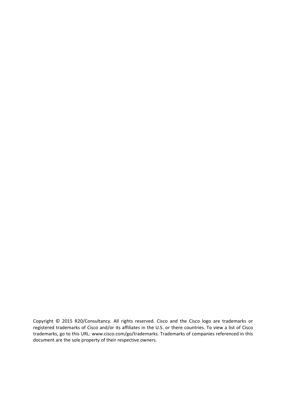Copyright © 2015 R20/Consultancy. All rights reserved. Cisco and the Cisco logo are trademarks or registered trademarks of Cisco and/or its affiliates in the U.S. or there countries. To view a list of Cisco trademarks, go to this URL: www.cisco.com/go/trademarks. Trademarks of companies referenced in this document are the sole property of their respective owners.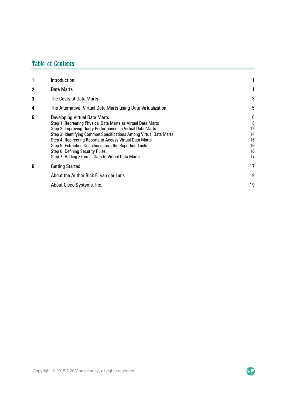## Table of Contents

| 1 | Introduction                                                                                                                                                                                                                                                                                                                                                                                                                                            |                                            |
|---|---------------------------------------------------------------------------------------------------------------------------------------------------------------------------------------------------------------------------------------------------------------------------------------------------------------------------------------------------------------------------------------------------------------------------------------------------------|--------------------------------------------|
| 2 | Data Marts                                                                                                                                                                                                                                                                                                                                                                                                                                              |                                            |
| 3 | The Costs of Data Marts                                                                                                                                                                                                                                                                                                                                                                                                                                 | 3                                          |
| 4 | The Alternative: Virtual Data Marts using Data Virtualization                                                                                                                                                                                                                                                                                                                                                                                           | 5                                          |
| 5 | <b>Developing Virtual Data Marts</b><br>Step 1: Recreating Physical Data Marts as Virtual Data Marts<br>Step 2: Improving Query Performance on Virtual Data Marts<br>Step 3: Identifying Common Specifications Among Virtual Data Marts<br>Step 4: Redirecting Reports to Access Virtual Data Marts<br>Step 5: Extracting Definitions from the Reporting Tools<br>Step 6: Defining Security Rules<br>Step 7: Adding External Data to Virtual Data Marts | 6<br>6<br>12<br>14<br>16<br>16<br>16<br>17 |
| 6 | <b>Getting Started</b>                                                                                                                                                                                                                                                                                                                                                                                                                                  | 17                                         |
|   | About the Author Rick F. van der Lans                                                                                                                                                                                                                                                                                                                                                                                                                   | 19                                         |
|   | About Cisco Systems, Inc.                                                                                                                                                                                                                                                                                                                                                                                                                               | 19                                         |

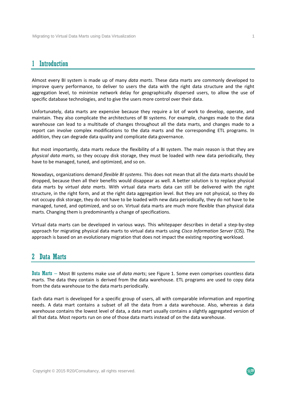## 1 Introduction

Almost every BI system is made up of many *data marts*. These data marts are commonly developed to improve query performance, to deliver to users the data with the right data structure and the right aggregation level, to minimize network delay for geographically dispersed users, to allow the use of specific database technologies, and to give the users more control over their data.

Unfortunately, data marts are expensive because they require a lot of work to develop, operate, and maintain. They also complicate the architectures of BI systems. For example, changes made to the data warehouse can lead to a multitude of changes throughout all the data marts, and changes made to a report can involve complex modifications to the data marts and the corresponding ETL programs. In addition, they can degrade data quality and complicate data governance.

But most importantly, data marts reduce the flexibility of a BI system. The main reason is that they are *physical data marts*, so they occupy disk storage, they must be loaded with new data periodically, they have to be managed, tuned, and optimized, and so on.

Nowadays, organizations demand *flexible BI systems*. This does not mean that all the data marts should be dropped, because then all their benefits would disappear as well. A better solution is to replace physical data marts by *virtual data marts*. With virtual data marts data can still be delivered with the right structure, in the right form, and at the right data aggregation level. But they are not physical, so they do not occupy disk storage, they do not have to be loaded with new data periodically, they do not have to be managed, tuned, and optimized, and so on. Virtual data marts are much more flexible than physical data marts. Changing them is predominantly a change of specifications.

Virtual data marts can be developed in various ways. This whitepaper describes in detail a step‐by‐step approach for migrating physical data marts to virtual data marts using *Cisco Information Server* (CIS). The approach is based on an evolutionary migration that does not impact the existing reporting workload.

## 2 Data Marts

Data Marts – Most BI systems make use of *data marts*; see Figure 1. Some even comprises countless data marts. The data they contain is derived from the data warehouse. ETL programs are used to copy data from the data warehouse to the data marts periodically.

Each data mart is developed for a specific group of users, all with comparable information and reporting needs. A data mart contains a subset of all the data from a data warehouse. Also, whereas a data warehouse contains the lowest level of data, a data mart usually contains a slightly aggregated version of all that data. Most reports run on one of those data marts instead of on the data warehouse.

 $\mathcal{R}^{\mathbf{20}}$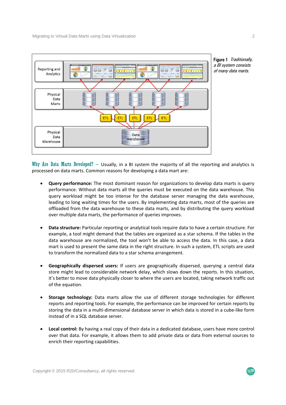



Why Are Data Marts Developed? - Usually, in a BI system the majority of all the reporting and analytics is processed on data marts. Common reasons for developing a data mart are:

- **Query performance:** The most dominant reason for organizations to develop data marts is query performance. Without data marts all the queries must be executed on the data warehouse. This query workload might be too intense for the database server managing the data warehouse, leading to long waiting times for the users. By implementing data marts, most of the queries are offloaded from the data warehouse to these data marts, and by distributing the query workload over multiple data marts, the performance of queries improves.
- **Data structure:** Particular reporting or analytical tools require data to have a certain structure. For example, a tool might demand that the tables are organized as a star schema. If the tables in the data warehouse are normalized, the tool won't be able to access the data. In this case, a data mart is used to present the same data in the right structure. In such a system, ETL scripts are used to transform the normalized data to a star schema arrangement.
- **Geographically dispersed users:** If users are geographically dispersed, querying a central data store might lead to considerable network delay, which slows down the reports. In this situation, it's better to move data physically closer to where the users are located, taking network traffic out of the equation.
- **Storage technology:** Data marts allow the use of different storage technologies for different reports and reporting tools. For example, the performance can be improved for certain reports by storing the data in a multi‐dimensional database server in which data is stored in a cube‐like form instead of in a SQL database server.
- **Local control:** By having a real copy of their data in a dedicated database, users have more control over that data. For example, it allows them to add private data or data from external sources to enrich their reporting capabilities.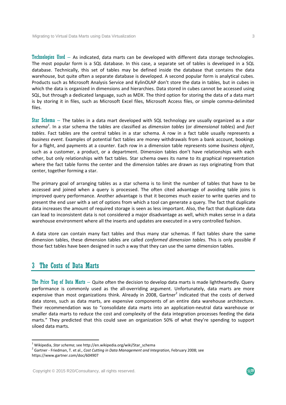Technologies Used – As indicated, data marts can be developed with different data storage technologies. The most popular form is a SQL database. In this case, a separate set of tables is developed in a SQL database. Technically, this set of tables may be defined inside the database that contains the data warehouse, but quite often a separate database is developed. A second popular form is analytical cubes. Products such as Microsoft Analysis Service and KylinOLAP don't store the data in tables, but in cubes in which the data is organized in dimensions and hierarchies. Data stored in cubes cannot be accessed using SQL, but through a dedicated language, such as MDX. The third option for storing the data of a data mart is by storing it in files, such as Microsoft Excel files, Microsoft Access files, or simple comma-delimited files.

Star Schema – The tables in a data mart developed with SQL technology are usually organized as a *star schema<sup>1</sup> .* In a star schema the tables are classified as *dimension tables* (or *dimensional tables*) and *fact tables*. Fact tables are the central tables in a star schema. A row in a fact table usually represents a *business event*. Examples of potential fact tables are money withdrawals from a bank account, bookings for a flight, and payments at a counter. Each row in a dimension table represents some *business object*, such as a customer, a product, or a department. Dimension tables don't have relationships with each other, but only relationships with fact tables. Star schema owes its name to its graphical representation where the fact table forms the center and the dimension tables are drawn as rays originating from that center, together forming a star.

The primary goal of arranging tables as a star schema is to limit the number of tables that have to be accessed and joined when a query is processed. The often cited advantage of avoiding table joins is improved query performance. Another advantage is that it becomes much easier to write queries and to present the end user with a set of options from which a tool can generate a query. The fact that duplicate data increases the amount of required storage is seen as less important. Also, the fact that duplicate data can lead to inconsistent data is not considered a major disadvantage as well, which makes sense in a data warehouse environment where all the inserts and updates are executed in a very controlled fashion.

A data store can contain many fact tables and thus many star schemas. If fact tables share the same dimension tables, these dimension tables are called *conformed dimension tables*. This is only possible if those fact tables have been designed in such a way that they can use the same dimension tables.

## 3 The Costs of Data Marts

The Price Tag of Data Marts – Quite often the decision to develop data marts is made lightheartedly. Query performance is commonly used as the all-overriding argument. Unfortunately, data marts are more expensive than most organizations think. Already in 2008, Gartner<sup>2</sup> indicated that the costs of derived data stores, such as data marts, are expensive components of an entire data warehouse architecture. Their recommendation was to "consolidate data marts into an application‐neutral data warehouse or smaller data marts to reduce the cost and complexity of the data integration processes feeding the data marts." They predicted that this could save an organization 50% of what they're spending to support siloed data marts.

 $\mathcal{R}^{\mathbf{20}}$ 

<sup>&</sup>lt;sup>1</sup> Wikipedia, *Star schema*; see http://en.wikipedia.org/wiki/Star\_schema<br><sup>2</sup> Gartner - Friedman, T. et al., *Cost Cutting in Data Management and Integration*, February 2008; see https://www.gartner.com/doc/604907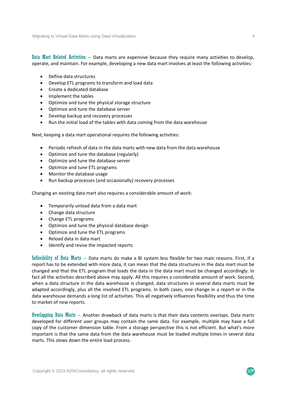Data Mart Related Activities – Data marts are expensive because they require many activities to develop, operate, and maintain. For example, developing a new data mart involves at least the following activities:

- Define data structures
- Develop ETL programs to transform and load data
- Create a dedicated database
- Implement the tables
- Optimize and tune the physical storage structure
- Optimize and tune the database server
- Develop backup and recovery processes
- Run the initial load of the tables with data coming from the data warehouse

Next, keeping a data mart operational requires the following activities:

- Periodic refresh of data in the data marts with new data from the data warehouse
- Optimize and tune the database (regularly)
- Optimize and tune the database server
- Optimize and tune ETL programs
- Monitor the database usage
- Run backup processes (and occasionally) recovery processes

Changing an existing data mart also requires a considerable amount of work:

- Temporarily unload data from a data mart
- Change data structure
- Change ETL programs
- Optimize and tune the physical database design
- Optimize and tune the ETL programs
- Reload data in data mart
- Identify and revise the impacted reports

Inflexibility of Data Marts – Data marts do make a BI system less flexible for two main reasons. First, if a report has to be extended with more data, it can mean that the data structures in the data mart must be changed and that the ETL program that loads the data in the data mart must be changed accordingly. In fact all the activities described above may apply. All this requires a considerable amount of work. Second, when a data structure in the data warehouse is changed, data structures in several data marts must be adapted accordingly, plus all the involved ETL programs. In both cases, one change in a report or in the data warehouse demands a long list of activities. This all negatively influences flexibility and thus the time to market of new reports.

Overlapping Data Marts – Another drawback of data marts is that their data contents overlaps. Data marts developed for different user groups may contain the same data. For example, multiple may have a full copy of the customer dimension table. From a storage perspective this is not efficient. But what's more important is that the same data from the data warehouse must be loaded multiple times in several data marts. This slows down the entire load process.

 $\mathcal{R}^{20}$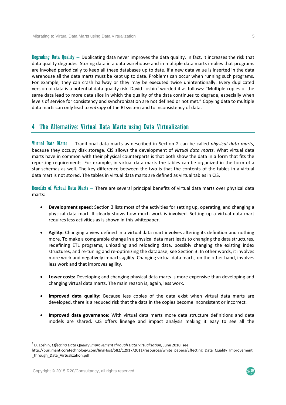Degrading Data Quality  $-$  Duplicating data never improves the data quality. In fact, it increases the risk that data quality degrades. Storing data in a data warehouse and in multiple data marts implies that programs are invoked periodically to keep all these databases up to date. If a new data value is inserted in the data warehouse all the data marts must be kept up to date. Problems can occur when running such programs. For example, they can crash halfway or they may be executed twice unintentionally. Every duplicated version of data is a potential data quality risk. David Loshin<sup>3</sup> worded it as follows: "Multiple copies of the same data lead to more data silos in which the quality of the data continues to degrade, especially when levels of service for consistency and synchronization are not defined or not met." Copying data to multiple data marts can only lead to *entropy* of the BI system and to inconsistency of data.

## 4 The Alternative: Virtual Data Marts using Data Virtualization

Virtual Data Marts – Traditional data marts as described in Section 2 can be called *physical data marts*, because they occupy disk storage. CIS allows the development of *virtual data marts*. What virtual data marts have in common with their physical counterparts is that both show the data in a form that fits the reporting requirements. For example, in virtual data marts the tables can be organized in the form of a star schemas as well. The key difference between the two is that the contents of the tables in a virtual data mart is not stored. The tables in virtual data marts are defined as virtual tables in CIS.

Benefits of Virtual Data Marts – There are several principal benefits of virtual data marts over physical data marts:

- **Development speed:** Section 3 lists most of the activities for setting up, operating, and changing a physical data mart. It clearly shows how much work is involved. Setting up a virtual data mart requires less activities as is shown in this whitepaper.
- **Agility:** Changing a view defined in a virtual data mart involves altering its definition and nothing more. To make a comparable change in a physical data mart leads to changing the data structures, redefining ETL programs, unloading and reloading data, possibly changing the existing index structures, and re‐tuning and re‐optimizing the database; see Section 3. In other words, it involves more work and negatively impacts agility. Changing virtual data marts, on the other hand, involves less work and that improves agility.
- **Lower costs:** Developing and changing physical data marts is more expensive than developing and changing virtual data marts. The main reason is, again, less work.
- **Improved data quality:** Because less copies of the data exist when virtual data marts are developed, there is a reduced risk that the data in the copies become inconsistent or incorrect.
- **Improved data governance:** With virtual data marts more data structure definitions and data models are shared. CIS offers lineage and impact analysis making it easy to see all the

<sup>3</sup> D. Loshin, *Effecting Data Quality Improvement through Data Virtualization*, June 2010; see

http://purl.manticoretechnology.com/ImgHost/582/12917/2011/resources/white\_papers/Effecting\_Data\_Quality\_Improvement \_through\_Data\_Virtualization.pdf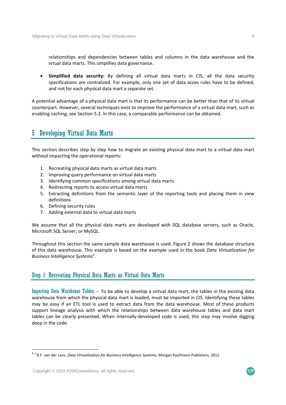relationships and dependencies between tables and columns in the data warehouse and the vrtual data marts. This simplifies data governance.

 **Simplified data security:** By defining all virtual data marts in CIS, all the data security specifications are centralized. For example, only one set of data acces rules have to be defined, and not for each physical data mart a separate set.

A potential advantage of a physical data mart is that its performance can be better than that of its virtual counterpart. However, several techniques exist to improve the performance of a virtual data mart, such as enabling caching; see Section 5.2. In this case, a comparable performance can be obtained.

## 5 Developing Virtual Data Marts

This section describes step by step how to migrate an existing physical data mart to a virtual data mart without impacting the operational reports:

- 1. Recreating physical data marts as virtual data marts
- 2. Improving query performance on virtual data marts
- 3. Identifying common specifications among virtual data marts
- 4. Redirecting reports to access virtual data marts
- 5. Extracting definitions from the semantic layer of the reporting tools and placing them in view definitions
- 6. Defining security rules
- 7. Adding external data to virtual data marts

We assume that all the physical data marts are developed with SQL database servers, such as Oracle, Microsoft SQL Server, or MySQL.

Throughout this section the same sample data warehouse is used. Figure 2 shows the database structure of this data warehouse. This example is based on the example used in the book *Data Virtualization for Business Intelligence Systems*<sup>4</sup> .

#### Step 1: Recreating Physical Data Marts as Virtual Data Marts

Importing Data Warehouse Tables – To be able to develop a virtual data mart, the tables in the existing data warehouse from which the physical data mart is loaded, must be imported in CIS. Identifying these tables may be easy if an ETL tool is used to extract data from the data warehouse. Most of these products support lineage analysis with which the relationships between data warehouse tables and data mart tables can be clearly presented. When internally‐developed code is used, this step may involve digging deep in the code.



<sup>4</sup> <sup>4</sup> R.F. van der Lans, *Data Virtualization for Business Intelligence Systems*, Morgan Kaufmann Publishers, 2012.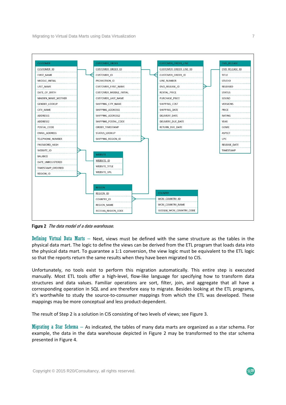

Figure 2 The data model of a data warehouse.

Defining Virtual Data Marts – Next, views must be defined with the same structure as the tables in the physical data mart. The logic to define the views can be derived from the ETL program that loads data into the physical data mart. To guarantee a 1:1 conversion, the view logic must be equivalent to the ETL logic so that the reports return the same results when they have been migrated to CIS.

Unfortunately, no tools exist to perform this migration automatically. This entire step is executed manually. Most ETL tools offer a high-level, flow-like language for specifying how to transform data structures and data values. Familiar operations are sort, filter, join, and aggregate that all have a corresponding operation in SQL and are therefore easy to migrate. Besides looking at the ETL programs, it's worthwhile to study the source‐to‐consumer mappings from which the ETL was developed. These mappings may be more conceptual and less product‐dependent.

The result of Step 2 is a solution in CIS consisting of two levels of views; see Figure 3.

Migrating a Star Schema – As indicated, the tables of many data marts are organized as a star schema. For example, the data in the data warehouse depicted in Figure 2 may be transformed to the star schema presented in Figure 4.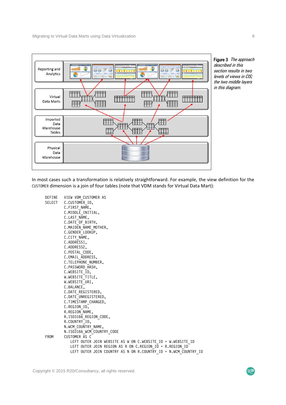

Figure 3 The approach described in this section results in two levels of views in CIS; the two middle layers in this diagram.

In most cases such a transformation is relatively straightforward. For example, the view definition for the CUSTOMER dimension is a join of four tables (note that VDM stands for Virtual Data Mart):

DEFINE VIEW VDM\_CUSTOMER AS<br>SELECT C.CUSTOMER ID, C.CUSTOMER ID, C.FIRST NAME, C.MIDDLE\_INITIAL, C.LAST NAME, C.DATE\_OF\_BIRTH, C.MAIDEN NAME MOTHER, C.GENDER<sup>LOOKUP</sup>, C.CITY\_NAME, C.ADDRESS1, C.ADDRESS2, C.POSTAL\_CODE, C.EMAIL\_ADDRESS, C.TELEPHONE NUMBER, C.PASSWORD\_HASH, C.WEBSITE\_ID, W.WEBSITE<sup>TITLE</sup>, W.WEBSITE<sup>URI</sup>, C.BALANCE, C.DATE\_REGISTERED, C.DATE\_UNREGISTERED, C.TIMESTAMP\_CHANGED, C.REGION\_ID, R.REGION\_NAME, R.ISO3166\_REGION CODE, R.COUNTRY\_ID, N.WCM\_COUNTRY\_NAME, N.ISO3166\_WCM\_COUNTRY\_CODE<br>FROM CUSTOMER AS C  $C$ USTOMER AS  $C$ LEFT OUTER JOIN WEBSITE AS W ON C.WEBSITE ID = W.WEBSITE ID LEFT OUTER JOIN REGION AS R ON C.REGION\_ID = R.REGION\_ID LEFT OUTER JOIN COUNTRY AS N ON R. COUNTRY ID = N.WCM COUNTRY ID

 $R<sub>20</sub>$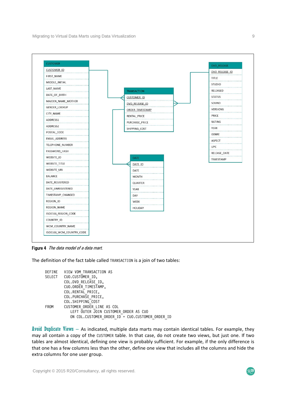

Figure 4 The data model of a data mart.

The definition of the fact table called TRANSACTION is a join of two tables:

```
DEFINE VIEW VDM_TRANSACTION AS 
SELECT CUO.CUSTOMER ID.
           COL.DVD_RELEASE_ID, 
           CUO.ORDER_TIMESTAMP, 
           COL.RENTAL_PRICE, 
           COL.PURCHASE_PRICE, 
COL.SHIPPING_COST<br>FROM CUSTOMER ORDER LI
          CUSTOMER ORDER LINE AS COL
             LEFT OUTER JOIN CUSTOMER ORDER AS CUO
              ON COL.CUSTOMER_ORDER_ID = CUO.CUSTOMER_ORDER_ID
```
Avoid Duplicate Views  $-$  As indicated, multiple data marts may contain identical tables. For example, they may all contain a copy of the CUSTOMER table. In that case, do not create two views, but just one. If two tables are almost identical, defining one view is probably sufficient. For example, if the only difference is that one has a few columns less than the other, define one view that includes all the columns and hide the extra columns for one user group.

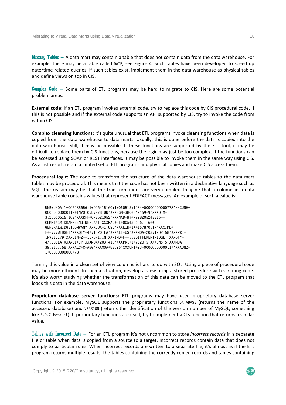Missing Tables  $-$  A data mart may contain a table that does not contain data from the data warehouse. For example, there may be a table called DATE; see Figure 4. Such tables have been developed to speed up date/time-related queries. If such tables exist, implement them in the data warehouse as physical tables and define views on top in CIS.

Complex Code – Some parts of ETL programs may be hard to migrate to CIS. Here are some potential problem areas:

**External code:** If an ETL program invokes external code, try to replace this code by CIS procedural code. If this is not possible and if the external code supports an API supported by CIS, try to invoke the code from within CIS.

**Complex cleansing functions:** It's quite unusual that ETL programs invoke cleansing functions when data is copied from the data warehouse to data marts. Usually, this is done before the data is copied into the data warehouse. Still, it may be possible. If these functions are supported by the ETL tool, it may be difficult to replace them by CIS functions, because the logic may just be too complex. If the functions can be accessed using SOAP or REST interfaces, it may be possible to invoke them in the same way using CIS. As a last resort, retain a limited set of ETL programs and physical copies and make CIS access them.

**Procedural logic:** The code to transform the structure of the data warehouse tables to the data mart tables may be procedural. This means that the code has not been written in a declarative language such as SQL. The reason may be that the transformations are very complex. Imagine that a column in a data warehouse table contains values that represent EDIFACT messages. An example of such a value is:

UNB+UNOA:1+005435656:1+006415160:1+060515:1434+00000000000778'XXXUNH+ 00000000000117+INVOIC:D:97B:UN'XXXBGM+380+342459+9'XXXDTM+ 3:20060515:102'XXXRFF+ON:521052'XXXNAD+BY+792820524::16++ CUMMINSMIDRANGEENGINEPLANT'XXXNAD+SE+005435656::16++ GENERALWIDGETCOMPANY'XXXCUX+1:USD'XXXLIN+1++157870:IN'XXXIMD+ F++:::WIDGET'XXXQTY+47:1020:EA'XXXALI+US'XXXMOA+203:1202.58'XXXPRI+ INV:1.179'XXXLIN+2++157871:IN'XXXIMD+F++:::DIFFERENTWIDGET'XXXQTY+ 47:20:EA'XXXALI+JP'XXXMOA+203:410'XXXPRI+INV:20.5'XXXUNS+S'XXXMOA+ 39:2137.58'XXXALC+C+ABG'XXXMOA+8:525'XXXUNT+23+00000000000117'XXXUNZ+ 1+00000000000778'

Turning this value in a clean set of view columns is hard to do with SQL. Using a piece of procedural code may be more efficient. In such a situation, develop a view using a stored procedure with scripting code. It's also worth studying whether the transformation of this data can be moved to the ETL program that loads this data in the data warehouse.

**Proprietary database server functions:** ETL programs may have used proprietary database server functions. For example, MySQL supports the proprietary functions DATABASE (returns the name of the accessed database) and VERSION (returns the identification of the version number of MySQL, something like 5.0.7-beta-nt). If proprietary functions are used, try to implement a CIS function that returns a similar value.

Tables with Incorrect Data – For an ETL program it's not uncommon to store *incorrect records* in a separate file or table when data is copied from a source to a target. Incorrect records contain data that does not comply to particular rules. When incorrect records are written to a separate file, it's almost as if the ETL program returns multiple results: the tables containing the correctly copied records and tables containing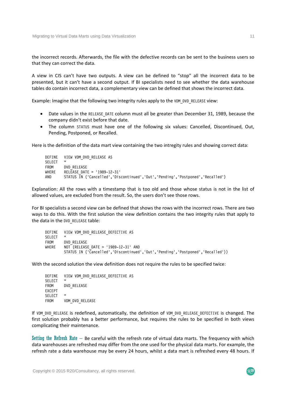the incorrect records. Afterwards, the file with the defective records can be sent to the business users so that they can correct the data.

A view in CIS can't have two outputs. A view can be defined to "stop" all the incorrect data to be presented, but it can't have a second output. If BI specialists need to see whether the data warehouse tables do contain incorrect data, a complementary view can be defined that shows the incorrect data.

Example: Imagine that the following two integrity rules apply to the VDM\_DVD\_RELEASE view:

- Date values in the RELEASE DATE column must all be greater than December 31, 1989, because the company didn't exist before that date.
- The column STATUS must have one of the following six values: Cancelled, Discontinued, Out, Pending, Postponed, or Recalled.

Here is the definition of the data mart view containing the two intregity rules and showing correct data:

DEFINE VIEW VDM\_DVD\_RELEASE AS SELECT. FROM DVD RELEASE WHERE RELEASE\_DATE > '1989-12-31' AND STATUS IN ('Cancelled','Discontinued','Out','Pending','Postponed','Recalled')

Explanation: All the rows with a timestamp that is too old and those whose status is not in the list of allowed values, are excluded from the result. So, the users don't see those rows.

For BI specialists a second view can be defined that shows the rows with the incorrect rows. There are two ways to do this. With the first solution the view definition contains the two integrity rules that apply to the data in the DVD RELEASE table:

DEFINE VIEW VDM\_DVD\_RELEASE\_DEFECTIVE AS **SELECT** FROM DVD RELEASE WHERE  $NOT^T$ (RELEASE DATE > '1989-12-31' AND STATUS IN ('Cancelled','Discontinued','Out','Pending','Postponed','Recalled'))

With the second solution the view definition does not require the rules to be specified twice:

|               | DEFINE VIEW VDM DVD RELEASE DEFECTIVE AS |
|---------------|------------------------------------------|
| <b>SELECT</b> | *                                        |
| FROM          | DVD RELEASE                              |
| EXCEPT        |                                          |
| <b>SELECT</b> | $\star$                                  |
| FROM          | VDM DVD RELEASE                          |

If VDM DVD RELEASE is redefined, automatically, the definition of VDM DVD RELEASE DEFECTIVE is changed. The first solution probably has a better performance, but requires the rules to be specified in both views complicating their maintenance.

Setting the Refresh Rate – Be careful with the refresh rate of virtual data marts. The frequency with which data warehouses are refreshed may differ from the one used for the physical data marts. For example, the refresh rate a data warehouse may be every 24 hours, whilst a data mart is refreshed every 48 hours. If

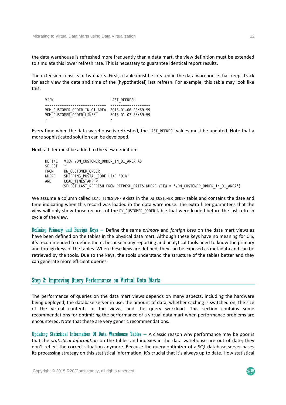the data warehouse is refreshed more frequently than a data mart, the view definition must be extended to simulate this lower refresh rate. This is necessary to guarantee identical report results.

The extension consists of two parts. First, a table must be created in the data warehouse that keeps track for each view the date and time of the (hypothetical) last refresh. For example, this table may look like this:

VIEW LAST REFRESH  $-$ VDM\_CUSTOMER\_ORDER\_IN\_01\_AREA 2015-01-06 23:59:59 VDM\_CUSTOMER\_ORDER\_LINES 2015-01-07 23:59:59 : in the second control of the second control of the second control of the second control of the second control of the second control of the second control of the second control of the second control of the second control

Every time when the data warehouse is refreshed, the LAST REFRESH values must be updated. Note that a more sophisticated solution can be developed.

Next, a filter must be added to the view definition:

```
DEFINE VIEW VDM CUSTOMER ORDER IN 01 AREA AS
SELECT *
FROM DW CUSTOMER ORDER
WHERE SHIPPING_POSTAL_CODE LIKE '01%' 
         LOAD TIMESTAMP \overline{\le} (SELECT LAST_REFRESH FROM REFRESH_DATES WHERE VIEW = 'VDM_CUSTOMER_ORDER_IN_01_AREA')
```
We assume a column called LOAD TIMESTAMP exists in the DW CUSTOMER ORDER table and contains the date and time indicating when this record was loaded in the data warehouse. The extra filter guarantees that the view will only show those records of the DW\_CUSTOMER\_ORDER table that were loaded before the last refresh cycle of the view.

Defining Primary and Foreign Keys – Define the same *primary* and *foreign keys* on the data mart views as have been defined on the tables in the physical data mart. Although these keys have no meaning for CIS, it's recommended to define them, because many reporting and analytical tools need to know the primary and foreign keys of the tables. When these keys are defined, they can be exposed as metadata and can be retrieved by the tools. Due to the keys, the tools understand the structure of the tables better and they can generate more efficient queries.

#### Step 2: Improving Query Performance on Virtual Data Marts

The performance of queries on the data mart views depends on many aspects, including the hardware being deployed, the database server in use, the amount of data, whether caching is switched on, the size of the virtual contents of the views, and the query workload. This section contains some recommendations for optimizing the performance of a virtual data mart when performance problems are encountered. Note that these are very generic recommendations.

Updating Statistical Information Of Data Warehouse Tables  $-$  A classic reason why performance may be poor is that the *statistical information* on the tables and indexes in the data warehouse are out of date; they don't reflect the correct situation anymore. Because the query optimizer of a SQL database server bases its processing strategy on this statistical information, it's crucial that it's always up to date. How statistical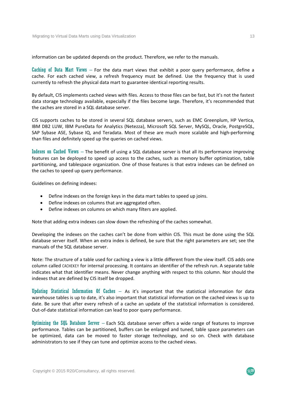information can be updated depends on the product. Therefore, we refer to the manuals.

Caching of Data Mart Views – For the data mart views that exhibit a poor query performance, define a cache. For each cached view, a refresh frequency must be defined. Use the frequency that is used currently to refresh the physical data mart to guarantee identical reporting results.

By default, CIS implements cached views with files. Access to those files can be fast, but it's not the fastest data storage technology available, especially if the files become large. Therefore, it's recommended that the caches are stored in a SQL database server.

CIS supports caches to be stored in several SQL database servers, such as EMC Greenplum, HP Vertica, IBM DB2 LUW, IBM PureData for Analytics (Netezza), Microsoft SQL Server, MySQL, Oracle, PostgreSQL, SAP Sybase ASE, Sybase IQ, and Teradata. Most of these are much more scalable and high-performing than files and definitely speed up the queries on cached views.

Indexes on Cached Views – The benefit of using a SQL database server is that all its performance improving features can be deployed to speed up access to the caches, such as memory buffer optimization, table partitioning, and tablespace organization. One of those features is that extra indexes can be defined on the caches to speed up query performance.

Guidelines on defining indexes:

- Define indexes on the foreign keys in the data mart tables to speed up joins.
- Define indexes on columns that are aggregated often.
- Define indexes on columns on which many filters are applied.

Note that adding extra indexes can slow down the refreshing of the caches somewhat.

Developing the indexes on the caches can't be done from within CIS. This must be done using the SQL database server itself. When an extra index is defined, be sure that the right parameters are set; see the manuals of the SQL database server.

Note: The structure of a table used for caching a view is a little different from the view itself. CIS adds one column called CACHEKEY for internal processing. It contains an identifier of the refresh run. A separate table indicates what that identifier means. Never change anything with respect to this column. Nor should the indexes that are defined by CIS itself be dropped.

Updating Statistical Information Of Caches – As it's important that the statistical information for data warehouse tables is up to date, it's also important that statistical information on the cached views is up to date. Be sure that after every refresh of a cache an update of the statistical information is considered. Out‐of‐date statistical information can lead to poor query performance.

Optimizing the SQL Database Server – Each SQL database server offers a wide range of features to improve performance. Tables can be partitioned, buffers can be enlarged and tuned, table space parameters can be optimized, data can be moved to faster storage technology, and so on. Check with database administrators to see if they can tune and optimize access to the cached views.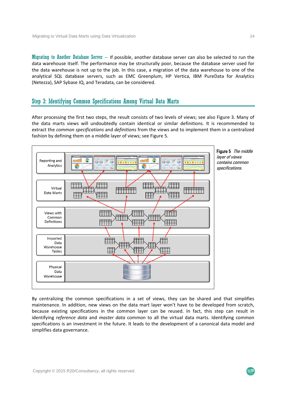Migrating to Another Database Server – If possible, another database server can also be selected to run the data warehouse itself. The performance may be structurally poor, because the database server used for the data warehouse is not up to the job. In this case, a migration of the data warehouse to one of the analytical SQL database servers, such as EMC Greenplum, HP Vertica, IBM PureData for Analytics (Netezza), SAP Sybase IQ, and Teradata, can be considered.

#### Step 3: Identifying Common Specifications Among Virtual Data Marts

After processing the first two steps, the result consists of two levels of views; see also Figure 3. Many of the data marts views will undoubtedly contain identical or similar definitions. It is recommended to extract the *common specifications* and *definitions* from the views and to implement them in a centralized fashion by defining them on a middle layer of views; see Figure 5.



By centralizing the common specifications in a set of views, they can be shared and that simplifies maintenance. In addition, new views on the data mart layer won't have to be developed from scratch, because existing specifications in the common layer can be reused. In fact, this step can result in identifying *reference data* and *master data* common to all the virtual data marts. Identifying common specifications is an investment in the future. It leads to the development of a canonical data model and simplifies data governance.

 $R<sub>20</sub>$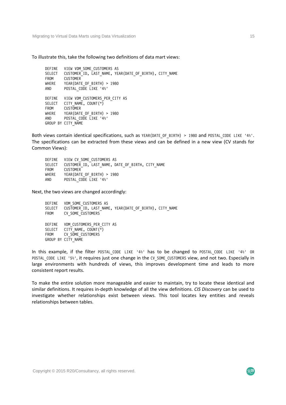Migrating to Virtual Data Marts using Data Virtualization 15

To illustrate this, take the following two definitions of data mart views:

```
DEFINE VIEW VDM SOME CUSTOMERS AS
SELECT CUSTOMER ID, LAST NAME, YEAR(DATE OF BIRTH), CITY NAME
FROM CUSTOMER 
WHERE YEAR(DATE OF BIRTH) > 1980
AND POSTAL CODE LIKE '4%'
DEFINE VIEW VDM CUSTOMERS PER CITY AS
SELECT CITY_NAME, COUNT(*)<br>FROM CUSTOMER
FROM CUSTOMER<br>WHERE YEAR(DAT)
         YEAR(DATE OF BIRTH) > 1980
AND POSTAL CODE LIKE '4%'
GROUP BY CITY NAME
```
Both views contain identical specifications, such as YEAR(DATE\_OF\_BIRTH) > 1980 and POSTAL\_CODE LIKE '4%'. The specifications can be extracted from these views and can be defined in a new view (CV stands for Common Views):

DEFINE VIEW CV SOME\_CUSTOMERS AS SELECT CUSTOMER ID, LAST NAME, DATE OF BIRTH, CITY NAME FROM CUSTOMER WHERE YEAR(DATE OF BIRTH) > 1980 AND POSTAL CODE LIKE '4%'

Next, the two views are changed accordingly:

| DEFINE | VDM SOME CUSTOMERS AS                                  |
|--------|--------------------------------------------------------|
| SELECT | CUSTOMER ID, LAST NAME, YEAR(DATE OF BIRTH), CITY NAME |
|        | FROM CV SOME CUSTOMERS                                 |
| DEFINE | VDM CUSTOMERS PER CITY AS                              |
|        | SELECT CITY NAME, COUNT(*)                             |
|        | FROM CV SOME CUSTOMERS                                 |
|        | GROUP BY CITY NAME                                     |

In this example, if the filter POSTAL CODE LIKE '4%' has to be changed to POSTAL CODE LIKE '4%' OR POSTAL CODE LIKE '5%', it requires just one change in the CV SOME CUSTOMERS view, and not two. Especially in large environments with hundreds of views, this improves development time and leads to more consistent report results.

To make the entire solution more manageable and easier to maintain, try to locate these identical and similar definitions. It requires in‐depth knowledge of all the view definitions. *CIS Discovery* can be used to investigate whether relationships exist between views. This tool locates key entities and reveals relationships between tables.

 $R$ 20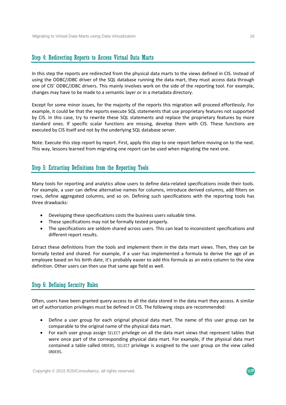#### Step 4: Redirecting Reports to Access Virtual Data Marts

In this step the reports are redirected from the physical data marts to the views defined in CIS. Instead of using the ODBC/JDBC driver of the SQL database running the data mart, they must access data through one of CIS' ODBC/JDBC drivers. This mainly involves work on the side of the reporting tool. For example, changes may have to be made to a semantic layer or in a metadata directory.

Except for some minor issues, for the majority of the reports this migration will proceed effortlessly. For example, it could be that the reports execute SQL statements that use proprietary features not supported by CIS. In this case, try to rewrite these SQL statements and replace the proprietary features by more standard ones. If specific scalar functions are missing, develop them with CIS. These functions are executed by CIS itself and not by the underlying SQL database server.

Note: Execute this step report by report. First, apply this step to one report before moving on to the next. This way, lessons learned from migrating one report can be used when migrating the next one.

#### Step 5: Extracting Definitions from the Reporting Tools

Many tools for reporting and analytics allow users to define data-related specifications inside their tools. For example, a user can define alternative names for columns, introduce derived columns, add filters on rows, define aggregated columns, and so on. Defining such specifications with the reporting tools has three drawbacks:

- Developing these specifications costs the business users valuable time.
- These specifications may not be formally tested properly.
- The specifications are seldom shared across users. This can lead to inconsistent specifications and different report results.

Extract these definitions from the tools and implement them in the data mart views. Then, they can be formally tested and shared. For example, if a user has implemented a formula to derive the age of an employee based on his birth date, it's probably easier to add this formula as an extra column to the view definition. Other users can then use that same age field as well.

#### Step 6: Defining Security Rules

Often, users have been granted query access to all the data stored in the data mart they access. A similar set of authorization privileges must be defined in CIS. The following steps are recommended:

- Define a user group for each original physical data mart. The name of this user group can be comparable to the original name of the physical data mart.
- For each user group assign SELECT privilege on all the data mart views that represent tables that were once part of the corresponding physical data mart. For example, if the physical data mart contained a table called ORDERS, SELECT privilege is assigned to the user group on the view called ORDERS.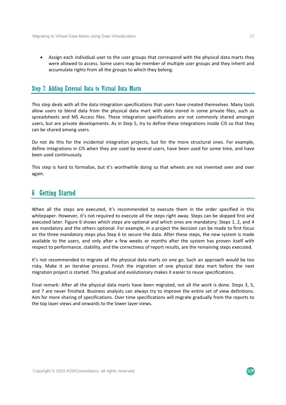Assign each individual user to the user groups that correspond with the physical data marts they were allowed to access. Some users may be member of multiple user groups and they inherit and accumulate rights from all the groups to which they belong.

#### Step 7: Adding External Data to Virtual Data Marts

This step deals with all the data integration specifications that users have created themselves. Many tools allow users to blend data from the physical data mart with data stored in some private files, such as spreadsheets and MS Access files. These integration specifications are not commonly shared amongst users, but are private developments. As in Step 5, try to define these integrations inside CIS so that they can be shared among users.

Do not do this for the incidental integration projects, but for the more structural ones. For example, define integrations in CIS when they are used by several users, have been used for some time, and have been used continuously.

This step is hard to formalize, but it's worthwhile doing so that wheels are not invented over and over again.

## 6 Getting Started

When all the steps are executed, it's recommended to execute them in the order specified in this whitepaper. However, it's not required to execute all the steps right away. Steps can be skipped first and executed later. Figure 6 shows which steps are optional and which ones are mandatory; Steps 1, 2, and 4 are mandatory and the others optional. For example, in a project the decision can be made to first focus on the three mandatory steps plus Step 6 to secure the data. After these steps, the new system is made available to the users, and only after a few weeks or months after the system has proven itself with respect to performance, stability, and the correctness of report results, are the remaining steps executed.

It's not recommended to migrate all the physical data marts on one go. Such an approach would be too risky. Make it an iterative process. Finish the migration of one physical data mart before the next migration project is started. This gradual and evolutionary makes it easier to reuse specifications.

Final remark: After all the physical data marts have been migrated, not all the work is done. Steps 3, 5, and 7 are never finished. Business analysts can always try to improve the entire set of view definitions. Aim for more sharing of specifications. Over time specifications will migrate gradually from the reports to the top layer views and onwards to the lower layer views.

 $\mathcal{R}^{\mathbf{20}}$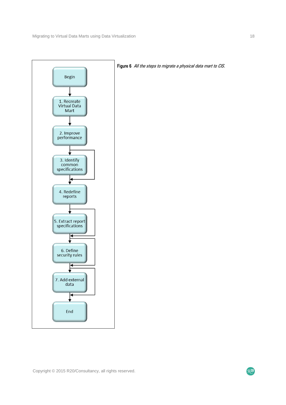

Figure 6 All the steps to migrate a physical data mart to CIS.

RZO